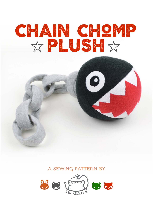# chain chomp XPLUSHX

### **a sewing pattern by**

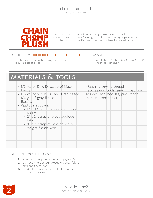

This plush is made to look like a scary chain chomp -- that is one of the enemies from the Super Mario games. It features a big appliqued face and attached chain that's assembled by machine for speed and ease.

#### DIFFICULTY: **DEE DEMONITIEM**

The hardest part is likely making the chain, which requires a bit of dexterity

makes:

one plush that's about  $6" \times 6"$  (head), and  $21"$ long (head with chain)

## **materials & tools**

| fleece                   | $\cdot$ 1/3 yd. or 15" $\times$ 10" scrap of black | • Matching sewing thread<br>· Basic sewing tools (sewing machine, |
|--------------------------|----------------------------------------------------|-------------------------------------------------------------------|
|                          | . 1/3 yd. or 6" x 10" scrap of red fleece          | scissors, iron, needles, pins, fabric                             |
| • 1/4 yd. of gray fleece |                                                    | marker, seam ripper)                                              |
| Batting                  |                                                    |                                                                   |
| Appliqué supplies:       |                                                    |                                                                   |
|                          | · 10" x 10" scrap of white appliqué                |                                                                   |
| fabric                   |                                                    |                                                                   |
|                          | $\cdot$ 2" $\times$ 2" scrap of black appliqué     |                                                                   |
| fabric                   |                                                    |                                                                   |
|                          | $\cdot$ 9" $\times$ 9" scrap of light or heavy-    |                                                                   |
| weight fusible web       |                                                    |                                                                   |
|                          |                                                    |                                                                   |
|                          |                                                    |                                                                   |
|                          |                                                    |                                                                   |
|                          |                                                    |                                                                   |
|                          |                                                    |                                                                   |

#### **before you begin:**

- **1.** Print out the project pattern, pages 13-14
- **2.** Lay out the pattern pieces on your fabric and cut them out
- **3.** Mark the fabric pieces with the guidelines from the pattern

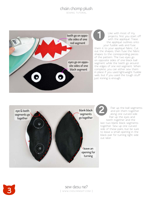sewing tutorial



Like with most of my projects, first you start off with the appliqué. Trace the appliqué outlines onto your fusible web and fuse them it to your appliqué fabric. Cut out the shapes, then fuse the fabric shapes to the corresponding pieces of the pattern. The two eyes go on opposite sides of one black ball segment while the teeth go around the edges of one red segment. When complete, you can either sew them in place if you used lightweight fusible web, but if you used the tough stuff just ironing is enough. **12**<br>
Like provident with the your fit to you fit the shape<br>
appes to the pattern opposite signent while<br>
edges of  $\alpha$ <br>
place if you place if you should be provident to be average that<br>
to leave a black pair out later.<br>
S



Pair up the ball segments and pin them together along one curved side. Pair up the eyes and teeth together and the last two blank black segments together. Sew up one curved side of these pairs, but be sure to leave a small opening in the black pair for turning right side out later

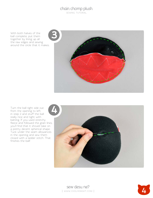sewing tutorial

With both halves of the ball complete, put them together by lining up all the raw edges and sewing around the circle that it makes.



Turn the ball right side out from the opening to left in step 2 and stuff the ball really nice and tight with batting. If you used stretchy fleece and followed the grain lines, you'll find that it should take on a pretty decent spherical shape. Tuck under the seam allowances in the opening and sew them closed with a ladder stitch. That finishes the ball!



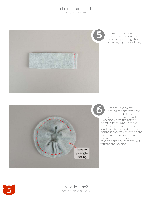SEWING TUTORIAL



Up next is the base of the chain. First up, sew the base side piece together into a ring, right sides facing.



Use that ring to sew around the circumference of the base bottom. Be sure to leave a small opening where the pattern indicates for turning right side out. You'll find that the fleece should stretch around the piece, making it easy to conform to the curves. When complete, repeat this with the other side of the base side and the base top, but without the opening.

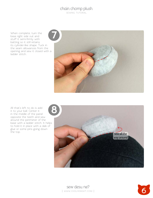sewing tutorial

When complete, turn the base right side out and stuff it semi-firmly with batting so it still retains its cylinder-like shape. Tuck in the seam allowances from the opening and sew it closed with a ladder stitch.



All that's left to do is add it to your ball. Center it in the middle of the panel opposite the teeth and sew around the perimeter of the base with a ladder stitch. It helps to hold it in place with a dab of glue or some pins going down the top.



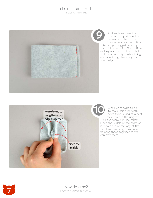SEWING TUTORIAL



And lastly we have the chains! This part is a little trickier, so it helps to just focus on one step at a time to not get bogged down by the finicky-ness of it. Start off by making one chain. Fold it in half widthwise with right sides facing and sew it together along the short edge.



What we're going to do to make this a perfectly sewn tube is kind of a neat trick. Lay out the ring flat so the seam is in the center. Pinch the middle of the seam so it moves out of the way of the two lower side edges. We want to bring those together so we can sew them.

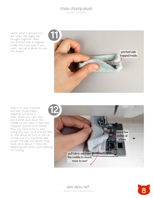sewing tutorial

Here's what it should look like when the edges are brought together. Note the pinched side is trapped inside. Put a pin here if you want, cuz we're about to sew this puppy!



Take it to your machine and sew those edges together a little at a time. When you can't sew any further, pull down the middle of the tube to free that "trapped" portion from before. Now you have more to sew! Going this way, you'll only be able to sew about an inch or two at a time, but you should be able to get through the whole thing. Stop short about 2" from the beginning and that's your opening for turning.



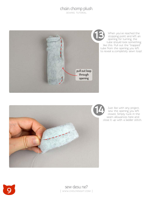sewing tutorial



When you've reached the stopping point and left an opening for turning, the tube should look something like this. Pull out the "trapped" tube from the opening you left to reveal a completely sewn loop!



Just like with any project, sew the opening you left closed. Simply tuck in the seam allowances here and close it up with a ladder stitch.



**9** sew desu ne?<br>
I WWW.CHOLYKNIGHT.CO | www.cholyknight.com |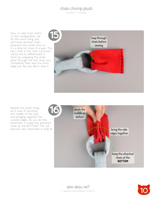sewing tutorial

Now, to add more chains to this configuration, we do the same thing, but we'll have another chain attached the whole time so it's a little bit more of a pain. The new chain in the next 4 pictures will be red to differentiate it. Start by wrapping the chain piece through the last chain you completed, then sew the short edge just like you did in step 9.



Repeat the same thing as in step 10, pinching the middle of the loop and bringing together the outside edges. As you do this, remember to keep the attached chain at the BOTTOM. This will become very important in step 18.





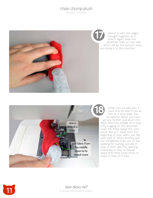#### chain chomp plush SEWING TUTORIAL



Here it is with the edges brought together as in step 11. Again, keep the attached chain on one side, which will be the bottom when you bring it to the machine.



When you actually sew it, you'll only be able to do an inch at a time really, but be patient! When you can't go any further, pull down the fabric from the middle as in step 12 by tugging on the attached chain link. Keep doing this until you're about 2" away from the beginning of your seam, just like with step 12. When finished, pull the completed chain out of the opening for turning just like in step 13, then sew the opening closed like in step 14. Repeat steps 15-18 three more times to make a chain of 5 links.



**11** sew desu ne?<br>I www.cholyknight.co | www .cholyknight .com |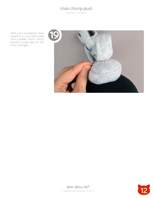sewing tutorial

With your completed chain, attach it to the chain base with a ladder stitch. Stitch around a wide area for the most strength.





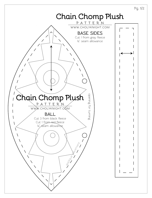